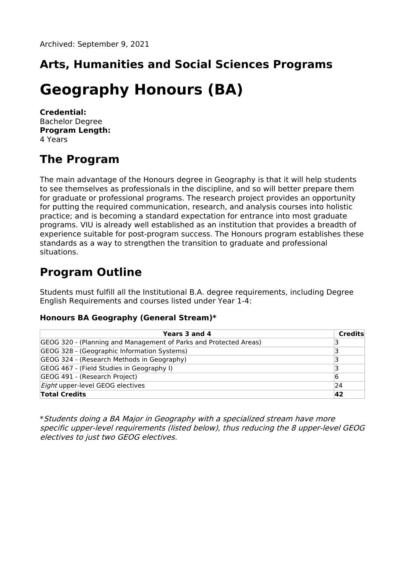# **Arts, Humanities and Social Sciences Programs**

# **Geography Honours (BA)**

**Credential:** Bachelor Degree **Program Length:** 4 Years

# **The Program**

The main advantage of the Honours degree in Geography is that it will help students to see themselves as professionals in the discipline, and so will better prepare them for graduate or professional programs. The research project provides an opportunity for putting the required communication, research, and analysis courses into holistic practice; and is becoming a standard expectation for entrance into most graduate programs. VIU is already well established as an institution that provides a breadth of experience suitable for post-program success. The Honours program establishes these standards as a way to strengthen the transition to graduate and professional situations.

# **Program Outline**

Students must fulfill all the Institutional B.A. degree requirements, including Degree English Requirements and courses listed under Year 1-4:

#### **Honours BA Geography (General Stream)\***

| Years 3 and 4                                                     | <b>Credits</b> |
|-------------------------------------------------------------------|----------------|
| GEOG 320 - (Planning and Management of Parks and Protected Areas) |                |
| GEOG 328 - (Geographic Information Systems)                       |                |
| GEOG 324 - (Research Methods in Geography)                        |                |
| GEOG 467 - (Field Studies in Geography I)                         |                |
| GEOG 491 - (Research Project)                                     | 16             |
| <i>Eight</i> upper-level GEOG electives                           | 24             |
| <b>Total Credits</b>                                              | 42             |

\*Students doing <sup>a</sup> BA Major in Geography with <sup>a</sup> specialized stream have more specific upper-level requirements (listed below), thus reducing the 8 upper-level GEOG electives to just two GEOG electives.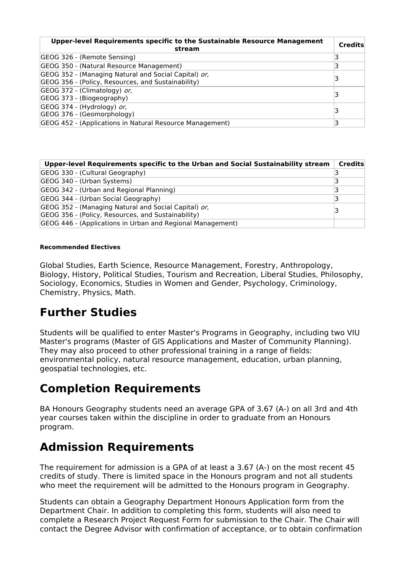| Upper-level Requirements specific to the Sustainable Resource Management<br>stream                         | <b>Credits</b> |
|------------------------------------------------------------------------------------------------------------|----------------|
| GEOG 326 - (Remote Sensing)                                                                                |                |
| GEOG 350 - (Natural Resource Management)                                                                   |                |
| GEOG 352 - (Managing Natural and Social Capital) or,<br>GEOG 356 - (Policy, Resources, and Sustainability) |                |
| GEOG 372 - (Climatology) or,<br>GEOG 373 - (Biogeography)                                                  |                |
| GEOG 374 - (Hydrology) or,<br>GEOG 376 - (Geomorphology)                                                   |                |
| GEOG 452 - (Applications in Natural Resource Management)                                                   |                |

| Upper-level Requirements specific to the Urban and Social Sustainability stream                            | Credits |
|------------------------------------------------------------------------------------------------------------|---------|
| GEOG 330 - (Cultural Geography)                                                                            |         |
| GEOG 340 - (Urban Systems)                                                                                 | R       |
| GEOG 342 - (Urban and Regional Planning)                                                                   |         |
| GEOG 344 - (Urban Social Geography)                                                                        |         |
| GEOG 352 - (Managing Natural and Social Capital) or,<br>GEOG 356 - (Policy, Resources, and Sustainability) |         |
| GEOG 446 - (Applications in Urban and Regional Management)                                                 |         |

#### **Recommended Electives**

Global Studies, Earth Science, Resource Management, Forestry, Anthropology, Biology, History, Political Studies, Tourism and Recreation, Liberal Studies, Philosophy, Sociology, Economics, Studies in Women and Gender, Psychology, Criminology, Chemistry, Physics, Math.

### **Further Studies**

Students will be qualified to enter Master's Programs in Geography, including two VIU Master's programs (Master of GIS Applications and Master of Community Planning). They may also proceed to other professional training in a range of fields: environmental policy, natural resource management, education, urban planning, geospatial technologies, etc.

## **Completion Requirements**

BA Honours Geography students need an average GPA of 3.67 (A-) on all 3rd and 4th year courses taken within the discipline in order to graduate from an Honours program.

### **Admission Requirements**

The requirement for admission is a GPA of at least a 3.67 (A-) on the most recent 45 credits of study. There is limited space in the Honours program and not all students who meet the requirement will be admitted to the Honours program in Geography.

Students can obtain a Geography Department Honours Application form from the Department Chair. In addition to completing this form, students will also need to complete a Research Project Request Form for submission to the Chair. The Chair will contact the Degree Advisor with confirmation of acceptance, or to obtain confirmation